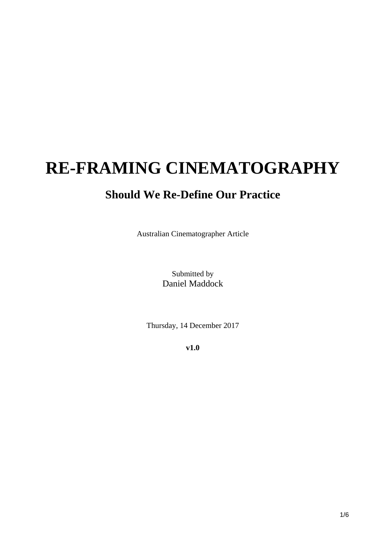## **RE-FRAMING CINEMATOGRAPHY**

## **Should We Re-Define Our Practice**

Australian Cinematographer Article

Submitted by Daniel Maddock

Thursday, 14 December 2017

**v1.0**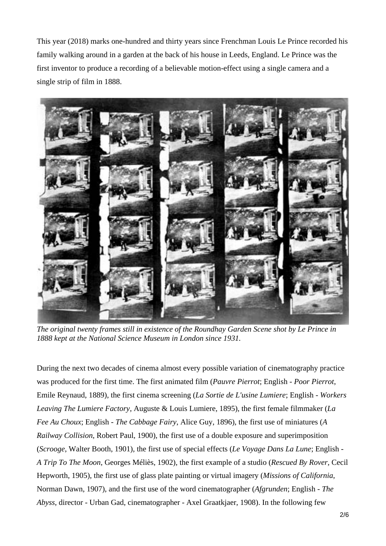This year (2018) marks one-hundred and thirty years since Frenchman Louis Le Prince recorded his family walking around in a garden at the back of his house in Leeds, England. Le Prince was the first inventor to produce a recording of a believable motion-effect using a single camera and a single strip of film in 1888.



*The original twenty frames still in existence of the Roundhay Garden Scene shot by Le Prince in 1888 kept at the National Science Museum in London since 1931.* 

During the next two decades of cinema almost every possible variation of cinematography practice was produced for the first time. The first animated film (*Pauvre Pierrot*; English - *Poor Pierrot*, Emile Reynaud, 1889), the first cinema screening (*La Sortie de L'usine Lumiere*; English - *Workers Leaving The Lumiere Factory*, Auguste & Louis Lumiere, 1895), the first female filmmaker (*La Fee Au Choux*; English - *The Cabbage Fairy*, Alice Guy, 1896), the first use of miniatures (*A Railway Collision*, Robert Paul, 1900), the first use of a double exposure and superimposition (*Scrooge*, Walter Booth, 1901), the first use of special effects (*Le Voyage Dans La Lune*; English - *A Trip To The Moon*, Georges Méliès, 1902), the first example of a studio (*Rescued By Rover*, Cecil Hepworth, 1905), the first use of glass plate painting or virtual imagery (*Missions of California*, Norman Dawn, 1907), and the first use of the word cinematographer (*Afgrunden*; English - *The Abyss*, director - Urban Gad, cinematographer - Axel Graatkjaer, 1908). In the following few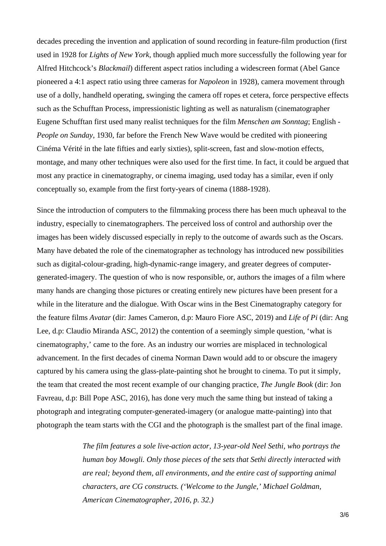decades preceding the invention and application of sound recording in feature-film production (first used in 1928 for *Lights of New York*, though applied much more successfully the following year for Alfred Hitchcock's *Blackmail*) different aspect ratios including a widescreen format (Abel Gance pioneered a 4:1 aspect ratio using three cameras for *Napoleon* in 1928), camera movement through use of a dolly, handheld operating, swinging the camera off ropes et cetera, force perspective effects such as the Schufftan Process, impressionistic lighting as well as naturalism (cinematographer Eugene Schufftan first used many realist techniques for the film *Menschen am Sonntag*; English - *People on Sunday*, 1930, far before the French New Wave would be credited with pioneering Cinéma Vérité in the late fifties and early sixties), split-screen, fast and slow-motion effects, montage, and many other techniques were also used for the first time. In fact, it could be argued that most any practice in cinematography, or cinema imaging, used today has a similar, even if only conceptually so, example from the first forty-years of cinema (1888-1928).

Since the introduction of computers to the filmmaking process there has been much upheaval to the industry, especially to cinematographers. The perceived loss of control and authorship over the images has been widely discussed especially in reply to the outcome of awards such as the Oscars. Many have debated the role of the cinematographer as technology has introduced new possibilities such as digital-colour-grading, high-dynamic-range imagery, and greater degrees of computergenerated-imagery. The question of who is now responsible, or, authors the images of a film where many hands are changing those pictures or creating entirely new pictures have been present for a while in the literature and the dialogue. With Oscar wins in the Best Cinematography category for the feature films *Avatar* (dir: James Cameron, d.p: Mauro Fiore ASC, 2019) and *Life of Pi* (dir: Ang Lee, d.p: Claudio Miranda ASC, 2012) the contention of a seemingly simple question, 'what is cinematography,' came to the fore. As an industry our worries are misplaced in technological advancement. In the first decades of cinema Norman Dawn would add to or obscure the imagery captured by his camera using the glass-plate-painting shot he brought to cinema. To put it simply, the team that created the most recent example of our changing practice, *The Jungle Book* (dir: Jon Favreau, d.p: Bill Pope ASC, 2016), has done very much the same thing but instead of taking a photograph and integrating computer-generated-imagery (or analogue matte-painting) into that photograph the team starts with the CGI and the photograph is the smallest part of the final image.

> *The film features a sole live-action actor, 13-year-old Neel Sethi, who portrays the human boy Mowgli. Only those pieces of the sets that Sethi directly interacted with are real; beyond them, all environments, and the entire cast of supporting animal characters, are CG constructs. ('Welcome to the Jungle,' Michael Goldman, American Cinematographer, 2016, p. 32.)*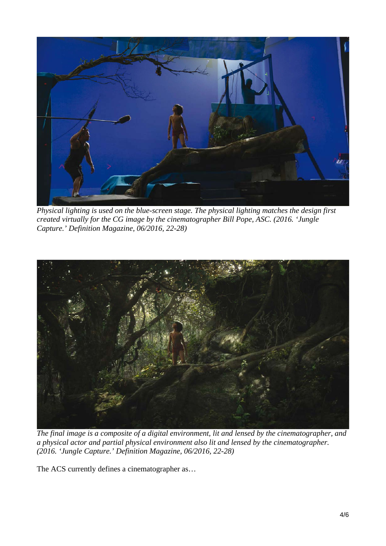

*Physical lighting is used on the blue-screen stage. The physical lighting matches the design first created virtually for the CG image by the cinematographer Bill Pope, ASC. (2016. 'Jungle Capture.' Definition Magazine, 06/2016, 22-28)* 



*The final image is a composite of a digital environment, lit and lensed by the cinematographer, and a physical actor and partial physical environment also lit and lensed by the cinematographer. (2016. 'Jungle Capture.' Definition Magazine, 06/2016, 22-28)* 

The ACS currently defines a cinematographer as...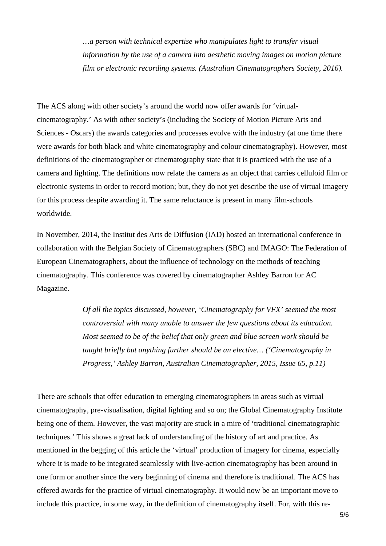*…a person with technical expertise who manipulates light to transfer visual information by the use of a camera into aesthetic moving images on motion picture film or electronic recording systems. (Australian Cinematographers Society, 2016).* 

The ACS along with other society's around the world now offer awards for 'virtualcinematography.' As with other society's (including the Society of Motion Picture Arts and Sciences - Oscars) the awards categories and processes evolve with the industry (at one time there were awards for both black and white cinematography and colour cinematography). However, most definitions of the cinematographer or cinematography state that it is practiced with the use of a camera and lighting. The definitions now relate the camera as an object that carries celluloid film or electronic systems in order to record motion; but, they do not yet describe the use of virtual imagery for this process despite awarding it. The same reluctance is present in many film-schools worldwide.

In November, 2014, the Institut des Arts de Diffusion (IAD) hosted an international conference in collaboration with the Belgian Society of Cinematographers (SBC) and IMAGO: The Federation of European Cinematographers, about the influence of technology on the methods of teaching cinematography. This conference was covered by cinematographer Ashley Barron for AC Magazine.

> *Of all the topics discussed, however, 'Cinematography for VFX' seemed the most controversial with many unable to answer the few questions about its education. Most seemed to be of the belief that only green and blue screen work should be taught briefly but anything further should be an elective… ('Cinematography in Progress,' Ashley Barron, Australian Cinematographer, 2015, Issue 65, p.11)*

There are schools that offer education to emerging cinematographers in areas such as virtual cinematography, pre-visualisation, digital lighting and so on; the Global Cinematography Institute being one of them. However, the vast majority are stuck in a mire of 'traditional cinematographic techniques.' This shows a great lack of understanding of the history of art and practice. As mentioned in the begging of this article the 'virtual' production of imagery for cinema, especially where it is made to be integrated seamlessly with live-action cinematography has been around in one form or another since the very beginning of cinema and therefore is traditional. The ACS has offered awards for the practice of virtual cinematography. It would now be an important move to include this practice, in some way, in the definition of cinematography itself. For, with this re